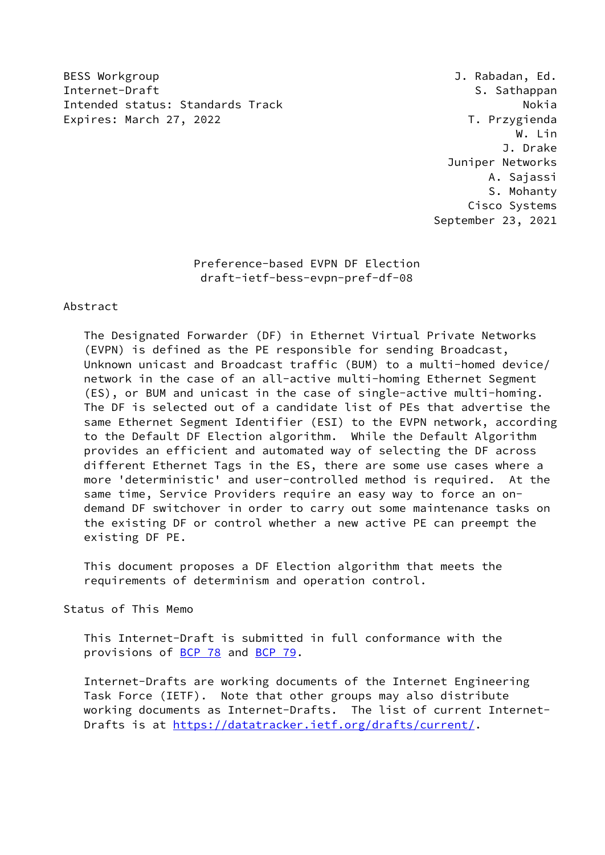BESS Workgroup **BESS Workgroup J. Rabadan, Ed.** Internet-Draft S. Sathappan Intended status: Standards Track Nokia Nokia Expires: March 27, 2022 T. Przygienda

 W. Lin J. Drake Juniper Networks A. Sajassi S. Mohanty Cisco Systems September 23, 2021

## Preference-based EVPN DF Election draft-ietf-bess-evpn-pref-df-08

#### Abstract

 The Designated Forwarder (DF) in Ethernet Virtual Private Networks (EVPN) is defined as the PE responsible for sending Broadcast, Unknown unicast and Broadcast traffic (BUM) to a multi-homed device/ network in the case of an all-active multi-homing Ethernet Segment (ES), or BUM and unicast in the case of single-active multi-homing. The DF is selected out of a candidate list of PEs that advertise the same Ethernet Segment Identifier (ESI) to the EVPN network, according to the Default DF Election algorithm. While the Default Algorithm provides an efficient and automated way of selecting the DF across different Ethernet Tags in the ES, there are some use cases where a more 'deterministic' and user-controlled method is required. At the same time, Service Providers require an easy way to force an on demand DF switchover in order to carry out some maintenance tasks on the existing DF or control whether a new active PE can preempt the existing DF PE.

 This document proposes a DF Election algorithm that meets the requirements of determinism and operation control.

Status of This Memo

 This Internet-Draft is submitted in full conformance with the provisions of [BCP 78](https://datatracker.ietf.org/doc/pdf/bcp78) and [BCP 79](https://datatracker.ietf.org/doc/pdf/bcp79).

 Internet-Drafts are working documents of the Internet Engineering Task Force (IETF). Note that other groups may also distribute working documents as Internet-Drafts. The list of current Internet- Drafts is at<https://datatracker.ietf.org/drafts/current/>.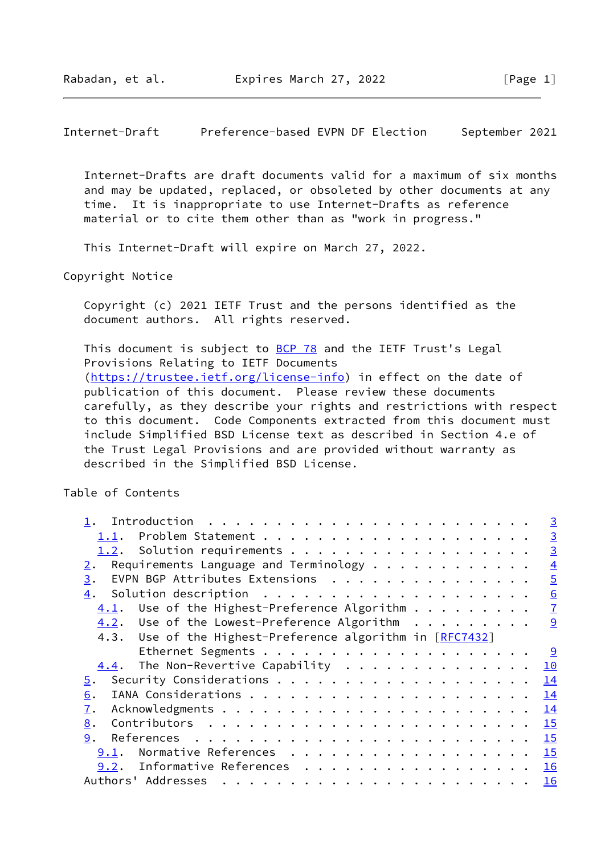Internet-Drafts are draft documents valid for a maximum of six months and may be updated, replaced, or obsoleted by other documents at any time. It is inappropriate to use Internet-Drafts as reference material or to cite them other than as "work in progress."

This Internet-Draft will expire on March 27, 2022.

Copyright Notice

 Copyright (c) 2021 IETF Trust and the persons identified as the document authors. All rights reserved.

This document is subject to [BCP 78](https://datatracker.ietf.org/doc/pdf/bcp78) and the IETF Trust's Legal Provisions Relating to IETF Documents [\(https://trustee.ietf.org/license-info](https://trustee.ietf.org/license-info)) in effect on the date of publication of this document. Please review these documents carefully, as they describe your rights and restrictions with respect to this document. Code Components extracted from this document must include Simplified BSD License text as described in Section 4.e of the Trust Legal Provisions and are provided without warranty as described in the Simplified BSD License.

Table of Contents

|                                                                                                                                                                                                                                                                                                                                                                                                                                                                                                               | $\overline{3}$   |
|---------------------------------------------------------------------------------------------------------------------------------------------------------------------------------------------------------------------------------------------------------------------------------------------------------------------------------------------------------------------------------------------------------------------------------------------------------------------------------------------------------------|------------------|
| 1.1.                                                                                                                                                                                                                                                                                                                                                                                                                                                                                                          | $\overline{3}$   |
| 1.2. Solution requirements                                                                                                                                                                                                                                                                                                                                                                                                                                                                                    | $\overline{3}$   |
| Requirements Language and Terminology $\cdots$<br>2.                                                                                                                                                                                                                                                                                                                                                                                                                                                          | $\overline{4}$   |
| EVPN BGP Attributes Extensions<br>3.                                                                                                                                                                                                                                                                                                                                                                                                                                                                          | $\overline{5}$   |
| 4.                                                                                                                                                                                                                                                                                                                                                                                                                                                                                                            | $6 \overline{6}$ |
| $4.1$ . Use of the Highest-Preference Algorithm                                                                                                                                                                                                                                                                                                                                                                                                                                                               | $\overline{1}$   |
| $\underline{4.2}$ . Use of the Lowest-Preference Algorithm 9                                                                                                                                                                                                                                                                                                                                                                                                                                                  |                  |
| 4.3. Use of the Highest-Preference algorithm in [RFC7432]                                                                                                                                                                                                                                                                                                                                                                                                                                                     |                  |
|                                                                                                                                                                                                                                                                                                                                                                                                                                                                                                               | <u>୍ର</u>        |
| The Non-Revertive Capability $\cdots$<br>4.4.                                                                                                                                                                                                                                                                                                                                                                                                                                                                 | 10               |
| 5.                                                                                                                                                                                                                                                                                                                                                                                                                                                                                                            | 14               |
| 6.                                                                                                                                                                                                                                                                                                                                                                                                                                                                                                            | 14               |
| 7.                                                                                                                                                                                                                                                                                                                                                                                                                                                                                                            | 14               |
| 8.                                                                                                                                                                                                                                                                                                                                                                                                                                                                                                            | 15               |
| 9.                                                                                                                                                                                                                                                                                                                                                                                                                                                                                                            | 15               |
| Normative References<br>9.1.                                                                                                                                                                                                                                                                                                                                                                                                                                                                                  | 15               |
| 9.2. Informative References                                                                                                                                                                                                                                                                                                                                                                                                                                                                                   | 16               |
| Authors' Addresses<br>$\mathbf{r}^{\mathsf{T}} \cdot \mathbf{r}^{\mathsf{T}} \cdot \mathbf{r}^{\mathsf{T}} \cdot \mathbf{r}^{\mathsf{T}} \cdot \mathbf{r}^{\mathsf{T}} \cdot \mathbf{r}^{\mathsf{T}} \cdot \mathbf{r}^{\mathsf{T}} \cdot \mathbf{r}^{\mathsf{T}} \cdot \mathbf{r}^{\mathsf{T}} \cdot \mathbf{r}^{\mathsf{T}} \cdot \mathbf{r}^{\mathsf{T}} \cdot \mathbf{r}^{\mathsf{T}} \cdot \mathbf{r}^{\mathsf{T}} \cdot \mathbf{r}^{\mathsf{T}} \cdot \mathbf{r}^{\mathsf{T}} \cdot \mathbf{r}^{\mathsf$ | 16               |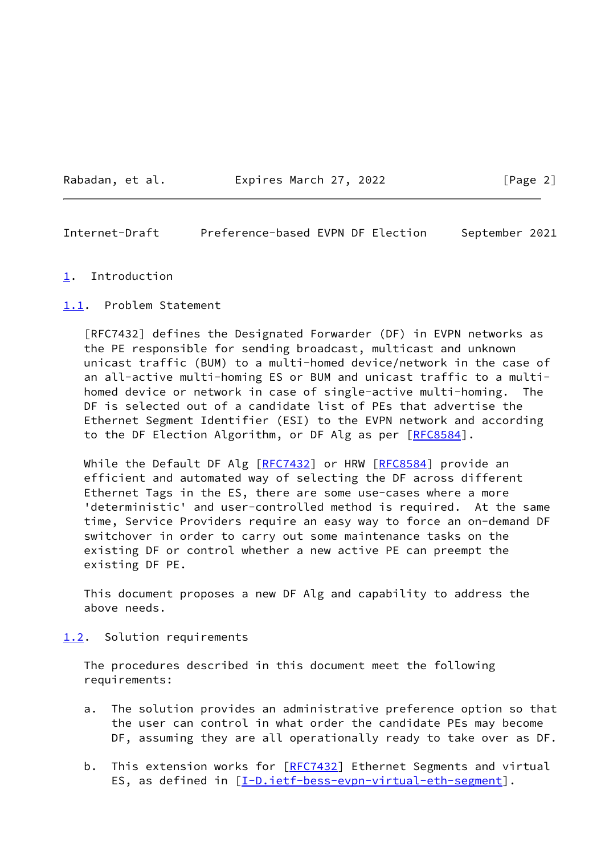Rabadan, et al. **Expires March 27, 2022** [Page 2]

<span id="page-2-1"></span>Internet-Draft Preference-based EVPN DF Election September 2021

#### <span id="page-2-0"></span>[1](#page-2-0). Introduction

<span id="page-2-2"></span>[1.1](#page-2-2). Problem Statement

 [RFC7432] defines the Designated Forwarder (DF) in EVPN networks as the PE responsible for sending broadcast, multicast and unknown unicast traffic (BUM) to a multi-homed device/network in the case of an all-active multi-homing ES or BUM and unicast traffic to a multi homed device or network in case of single-active multi-homing. The DF is selected out of a candidate list of PEs that advertise the Ethernet Segment Identifier (ESI) to the EVPN network and according to the DF Election Algorithm, or DF Alg as per [\[RFC8584](https://datatracker.ietf.org/doc/pdf/rfc8584)].

While the Default DF Alg [\[RFC7432](https://datatracker.ietf.org/doc/pdf/rfc7432)] or HRW [[RFC8584](https://datatracker.ietf.org/doc/pdf/rfc8584)] provide an efficient and automated way of selecting the DF across different Ethernet Tags in the ES, there are some use-cases where a more 'deterministic' and user-controlled method is required. At the same time, Service Providers require an easy way to force an on-demand DF switchover in order to carry out some maintenance tasks on the existing DF or control whether a new active PE can preempt the existing DF PE.

 This document proposes a new DF Alg and capability to address the above needs.

<span id="page-2-3"></span>[1.2](#page-2-3). Solution requirements

 The procedures described in this document meet the following requirements:

- a. The solution provides an administrative preference option so that the user can control in what order the candidate PEs may become DF, assuming they are all operationally ready to take over as DF.
- b. This extension works for [\[RFC7432](https://datatracker.ietf.org/doc/pdf/rfc7432)] Ethernet Segments and virtual ES, as defined in [[I-D.ietf-bess-evpn-virtual-eth-segment](#page-16-2)].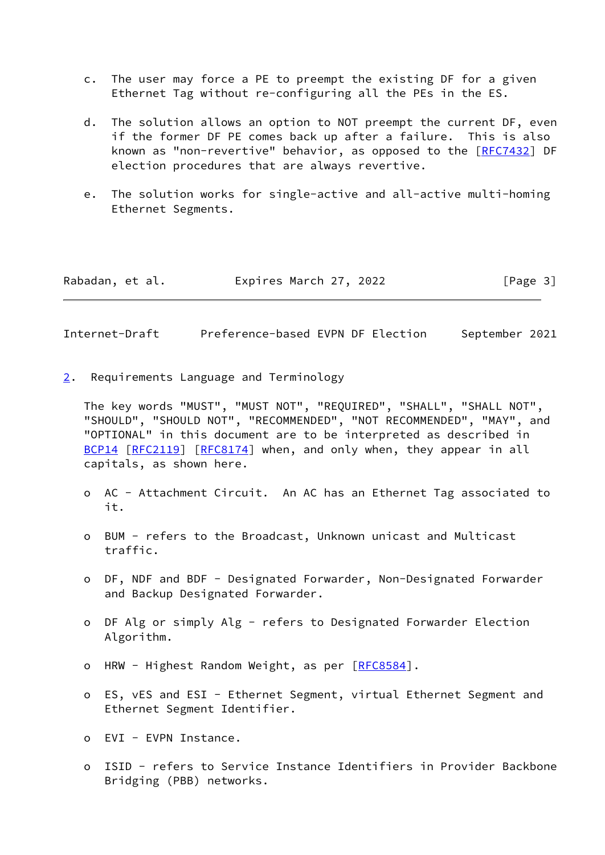- c. The user may force a PE to preempt the existing DF for a given Ethernet Tag without re-configuring all the PEs in the ES.
- d. The solution allows an option to NOT preempt the current DF, even if the former DF PE comes back up after a failure. This is also known as "non-revertive" behavior, as opposed to the [\[RFC7432](https://datatracker.ietf.org/doc/pdf/rfc7432)] DF election procedures that are always revertive.
- e. The solution works for single-active and all-active multi-homing Ethernet Segments.

<span id="page-3-1"></span>

| Rabadan, et al. | Expires March 27, 2022 | [Page 3] |
|-----------------|------------------------|----------|
|-----------------|------------------------|----------|

<span id="page-3-0"></span>[2](#page-3-0). Requirements Language and Terminology

 The key words "MUST", "MUST NOT", "REQUIRED", "SHALL", "SHALL NOT", "SHOULD", "SHOULD NOT", "RECOMMENDED", "NOT RECOMMENDED", "MAY", and "OPTIONAL" in this document are to be interpreted as described in [BCP14](https://datatracker.ietf.org/doc/pdf/bcp14) [[RFC2119](https://datatracker.ietf.org/doc/pdf/rfc2119)] [\[RFC8174](https://datatracker.ietf.org/doc/pdf/rfc8174)] when, and only when, they appear in all capitals, as shown here.

- o AC Attachment Circuit. An AC has an Ethernet Tag associated to it.
- o BUM refers to the Broadcast, Unknown unicast and Multicast traffic.
- o DF, NDF and BDF Designated Forwarder, Non-Designated Forwarder and Backup Designated Forwarder.
- o DF Alg or simply Alg refers to Designated Forwarder Election Algorithm.
- o HRW Highest Random Weight, as per [\[RFC8584](https://datatracker.ietf.org/doc/pdf/rfc8584)].
- o ES, vES and ESI Ethernet Segment, virtual Ethernet Segment and Ethernet Segment Identifier.

o EVI - EVPN Instance.

 o ISID - refers to Service Instance Identifiers in Provider Backbone Bridging (PBB) networks.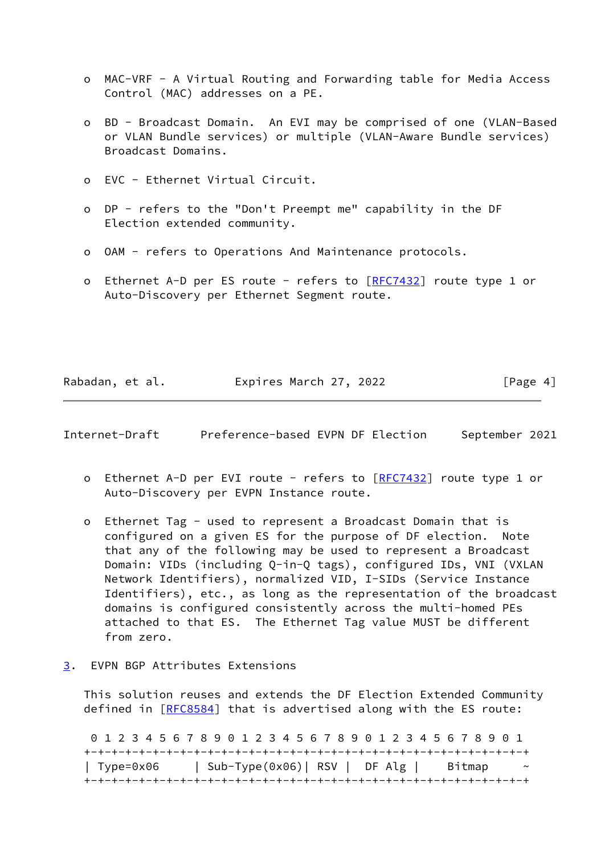- o MAC-VRF A Virtual Routing and Forwarding table for Media Access Control (MAC) addresses on a PE.
- o BD Broadcast Domain. An EVI may be comprised of one (VLAN-Based or VLAN Bundle services) or multiple (VLAN-Aware Bundle services) Broadcast Domains.
- o EVC Ethernet Virtual Circuit.
- o DP refers to the "Don't Preempt me" capability in the DF Election extended community.
- o OAM refers to Operations And Maintenance protocols.
- o Ethernet A-D per ES route refers to [\[RFC7432](https://datatracker.ietf.org/doc/pdf/rfc7432)] route type 1 or Auto-Discovery per Ethernet Segment route.

Rabadan, et al. **Expires March 27, 2022** [Page 4]

<span id="page-4-1"></span>Internet-Draft Preference-based EVPN DF Election September 2021

- o Ethernet A-D per EVI route refers to [[RFC7432](https://datatracker.ietf.org/doc/pdf/rfc7432)] route type 1 or Auto-Discovery per EVPN Instance route.
- o Ethernet Tag used to represent a Broadcast Domain that is configured on a given ES for the purpose of DF election. Note that any of the following may be used to represent a Broadcast Domain: VIDs (including Q-in-Q tags), configured IDs, VNI (VXLAN Network Identifiers), normalized VID, I-SIDs (Service Instance Identifiers), etc., as long as the representation of the broadcast domains is configured consistently across the multi-homed PEs attached to that ES. The Ethernet Tag value MUST be different from zero.
- <span id="page-4-0"></span>[3](#page-4-0). EVPN BGP Attributes Extensions

 This solution reuses and extends the DF Election Extended Community defined in [[RFC8584\]](https://datatracker.ietf.org/doc/pdf/rfc8584) that is advertised along with the ES route:

 0 1 2 3 4 5 6 7 8 9 0 1 2 3 4 5 6 7 8 9 0 1 2 3 4 5 6 7 8 9 0 1 +-+-+-+-+-+-+-+-+-+-+-+-+-+-+-+-+-+-+-+-+-+-+-+-+-+-+-+-+-+-+-+-+ | Type=0x06 | Sub-Type(0x06)| RSV | DF Alg | Bitmap ~ +-+-+-+-+-+-+-+-+-+-+-+-+-+-+-+-+-+-+-+-+-+-+-+-+-+-+-+-+-+-+-+-+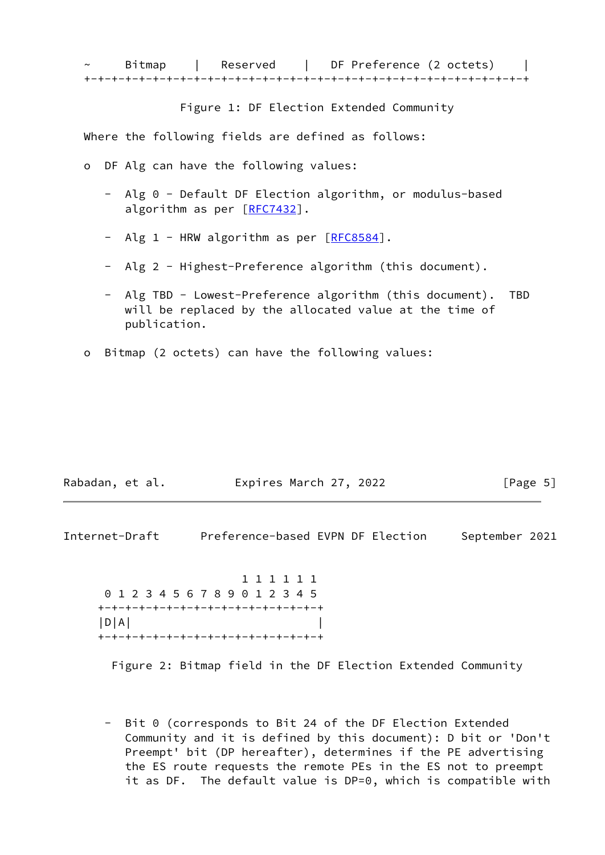Figure 1: DF Election Extended Community

Where the following fields are defined as follows:

- o DF Alg can have the following values:
	- Alg 0 Default DF Election algorithm, or modulus-based algorithm as per [\[RFC7432](https://datatracker.ietf.org/doc/pdf/rfc7432)].
	- Alg 1 HRW algorithm as per [[RFC8584\]](https://datatracker.ietf.org/doc/pdf/rfc8584).
	- Alg 2 Highest-Preference algorithm (this document).
	- Alg TBD Lowest-Preference algorithm (this document). TBD will be replaced by the allocated value at the time of publication.
- o Bitmap (2 octets) can have the following values:

| Rabadan, et al. | Expires March 27, 2022 | [Page 5] |
|-----------------|------------------------|----------|
|-----------------|------------------------|----------|

<span id="page-5-0"></span>

| Internet-Draft | Preference-based EVPN DF Election |  | September 2021 |  |
|----------------|-----------------------------------|--|----------------|--|
|                |                                   |  |                |  |

 1 1 1 1 1 1 0 1 2 3 4 5 6 7 8 9 0 1 2 3 4 5 +-+-+-+-+-+-+-+-+-+-+-+-+-+-+-+-+ |D|A| | +-+-+-+-+-+-+-+-+-+-+-+-+-+-+-+-+

Figure 2: Bitmap field in the DF Election Extended Community

 - Bit 0 (corresponds to Bit 24 of the DF Election Extended Community and it is defined by this document): D bit or 'Don't Preempt' bit (DP hereafter), determines if the PE advertising the ES route requests the remote PEs in the ES not to preempt it as DF. The default value is DP=0, which is compatible with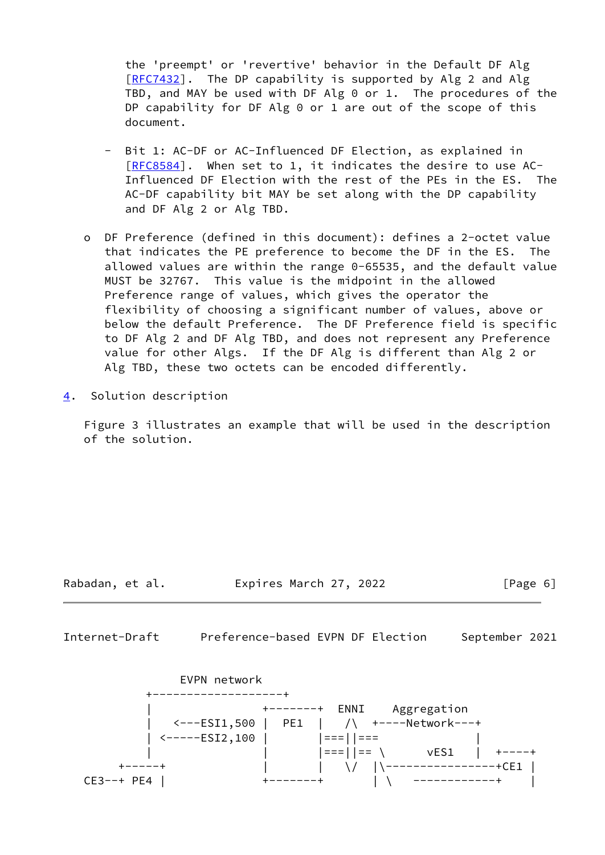the 'preempt' or 'revertive' behavior in the Default DF Alg [[RFC7432](https://datatracker.ietf.org/doc/pdf/rfc7432)]. The DP capability is supported by Alg 2 and Alg TBD, and MAY be used with DF Alg 0 or 1. The procedures of the DP capability for DF Alg 0 or 1 are out of the scope of this document.

- Bit 1: AC-DF or AC-Influenced DF Election, as explained in [[RFC8584](https://datatracker.ietf.org/doc/pdf/rfc8584)]. When set to 1, it indicates the desire to use AC- Influenced DF Election with the rest of the PEs in the ES. The AC-DF capability bit MAY be set along with the DP capability and DF Alg 2 or Alg TBD.
- o DF Preference (defined in this document): defines a 2-octet value that indicates the PE preference to become the DF in the ES. The allowed values are within the range 0-65535, and the default value MUST be 32767. This value is the midpoint in the allowed Preference range of values, which gives the operator the flexibility of choosing a significant number of values, above or below the default Preference. The DF Preference field is specific to DF Alg 2 and DF Alg TBD, and does not represent any Preference value for other Algs. If the DF Alg is different than Alg 2 or Alg TBD, these two octets can be encoded differently.
- <span id="page-6-0"></span>[4](#page-6-0). Solution description

 Figure 3 illustrates an example that will be used in the description of the solution.

Rabadan, et al. Expires March 27, 2022 [Page 6]

<span id="page-6-1"></span>Internet-Draft Preference-based EVPN DF Election September 2021

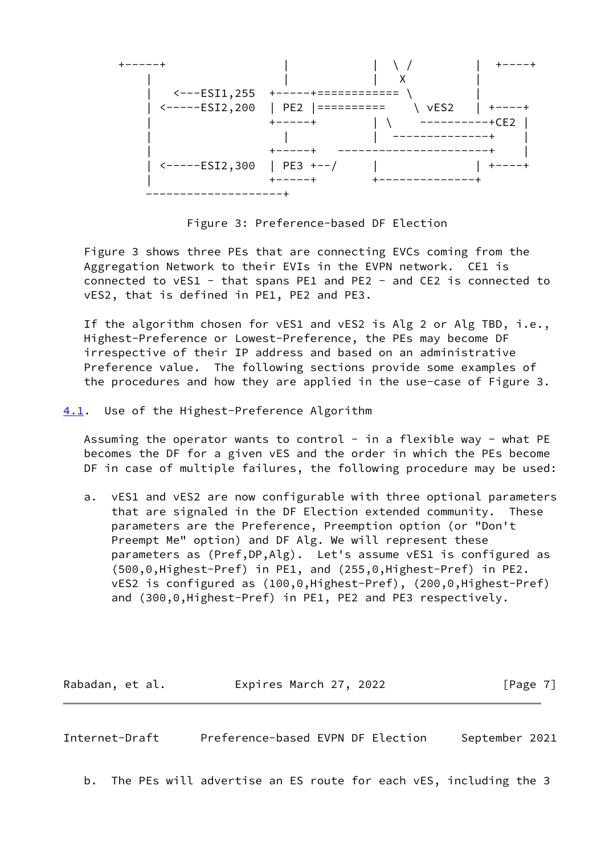

Figure 3: Preference-based DF Election

 Figure 3 shows three PEs that are connecting EVCs coming from the Aggregation Network to their EVIs in the EVPN network. CE1 is connected to vES1 - that spans PE1 and PE2 - and CE2 is connected to vES2, that is defined in PE1, PE2 and PE3.

 If the algorithm chosen for vES1 and vES2 is Alg 2 or Alg TBD, i.e., Highest-Preference or Lowest-Preference, the PEs may become DF irrespective of their IP address and based on an administrative Preference value. The following sections provide some examples of the procedures and how they are applied in the use-case of Figure 3.

<span id="page-7-0"></span>[4.1](#page-7-0). Use of the Highest-Preference Algorithm

Assuming the operator wants to control - in a flexible way - what  $PE$  becomes the DF for a given vES and the order in which the PEs become DF in case of multiple failures, the following procedure may be used:

 a. vES1 and vES2 are now configurable with three optional parameters that are signaled in the DF Election extended community. These parameters are the Preference, Preemption option (or "Don't Preempt Me" option) and DF Alg. We will represent these parameters as (Pref,DP,Alg). Let's assume vES1 is configured as (500,0,Highest-Pref) in PE1, and (255,0,Highest-Pref) in PE2. vES2 is configured as (100,0,Highest-Pref), (200,0,Highest-Pref) and (300,0,Highest-Pref) in PE1, PE2 and PE3 respectively.

Rabadan, et al. **Expires March 27, 2022** [Page 7]

Internet-Draft Preference-based EVPN DF Election September 2021

b. The PEs will advertise an ES route for each vES, including the 3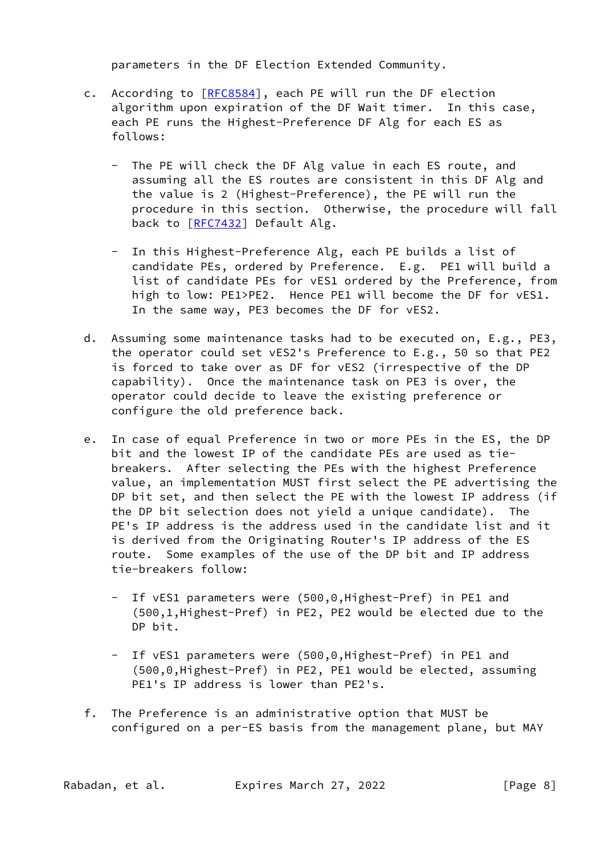parameters in the DF Election Extended Community.

- c. According to [\[RFC8584](https://datatracker.ietf.org/doc/pdf/rfc8584)], each PE will run the DF election algorithm upon expiration of the DF Wait timer. In this case, each PE runs the Highest-Preference DF Alg for each ES as follows:
	- The PE will check the DF Alg value in each ES route, and assuming all the ES routes are consistent in this DF Alg and the value is 2 (Highest-Preference), the PE will run the procedure in this section. Otherwise, the procedure will fall back to [\[RFC7432](https://datatracker.ietf.org/doc/pdf/rfc7432)] Default Alg.
	- In this Highest-Preference Alg, each PE builds a list of candidate PEs, ordered by Preference. E.g. PE1 will build a list of candidate PEs for vES1 ordered by the Preference, from high to low: PE1>PE2. Hence PE1 will become the DF for vES1. In the same way, PE3 becomes the DF for vES2.
- d. Assuming some maintenance tasks had to be executed on, E.g., PE3, the operator could set vES2's Preference to E.g., 50 so that PE2 is forced to take over as DF for vES2 (irrespective of the DP capability). Once the maintenance task on PE3 is over, the operator could decide to leave the existing preference or configure the old preference back.
- e. In case of equal Preference in two or more PEs in the ES, the DP bit and the lowest IP of the candidate PEs are used as tie breakers. After selecting the PEs with the highest Preference value, an implementation MUST first select the PE advertising the DP bit set, and then select the PE with the lowest IP address (if the DP bit selection does not yield a unique candidate). The PE's IP address is the address used in the candidate list and it is derived from the Originating Router's IP address of the ES route. Some examples of the use of the DP bit and IP address tie-breakers follow:
	- If vES1 parameters were (500,0,Highest-Pref) in PE1 and (500,1,Highest-Pref) in PE2, PE2 would be elected due to the DP bit.
	- If vES1 parameters were (500,0,Highest-Pref) in PE1 and (500,0,Highest-Pref) in PE2, PE1 would be elected, assuming PE1's IP address is lower than PE2's.
- f. The Preference is an administrative option that MUST be configured on a per-ES basis from the management plane, but MAY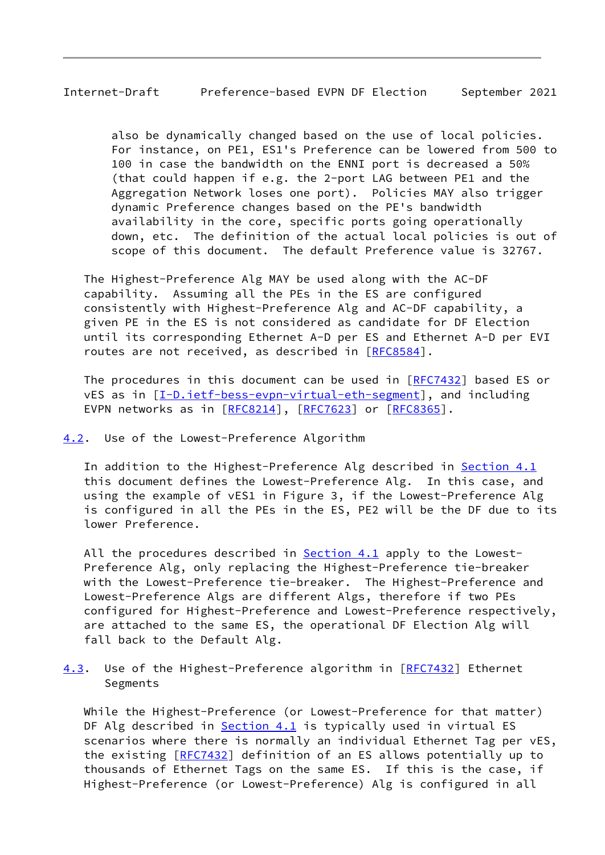<span id="page-9-1"></span> also be dynamically changed based on the use of local policies. For instance, on PE1, ES1's Preference can be lowered from 500 to 100 in case the bandwidth on the ENNI port is decreased a 50% (that could happen if e.g. the 2-port LAG between PE1 and the Aggregation Network loses one port). Policies MAY also trigger dynamic Preference changes based on the PE's bandwidth availability in the core, specific ports going operationally down, etc. The definition of the actual local policies is out of scope of this document. The default Preference value is 32767.

 The Highest-Preference Alg MAY be used along with the AC-DF capability. Assuming all the PEs in the ES are configured consistently with Highest-Preference Alg and AC-DF capability, a given PE in the ES is not considered as candidate for DF Election until its corresponding Ethernet A-D per ES and Ethernet A-D per EVI routes are not received, as described in [\[RFC8584](https://datatracker.ietf.org/doc/pdf/rfc8584)].

 The procedures in this document can be used in [\[RFC7432](https://datatracker.ietf.org/doc/pdf/rfc7432)] based ES or vES as in [[I-D.ietf-bess-evpn-virtual-eth-segment](#page-16-2)], and including EVPN networks as in [\[RFC8214](https://datatracker.ietf.org/doc/pdf/rfc8214)], [\[RFC7623](https://datatracker.ietf.org/doc/pdf/rfc7623)] or [\[RFC8365](https://datatracker.ietf.org/doc/pdf/rfc8365)].

### <span id="page-9-0"></span>[4.2](#page-9-0). Use of the Lowest-Preference Algorithm

In addition to the Highest-Preference Alg described in [Section 4.1](#page-7-0) this document defines the Lowest-Preference Alg. In this case, and using the example of vES1 in Figure 3, if the Lowest-Preference Alg is configured in all the PEs in the ES, PE2 will be the DF due to its lower Preference.

All the procedures described in [Section 4.1](#page-7-0) apply to the Lowest- Preference Alg, only replacing the Highest-Preference tie-breaker with the Lowest-Preference tie-breaker. The Highest-Preference and Lowest-Preference Algs are different Algs, therefore if two PEs configured for Highest-Preference and Lowest-Preference respectively, are attached to the same ES, the operational DF Election Alg will fall back to the Default Alg.

<span id="page-9-2"></span>[4.3](#page-9-2). Use of the Highest-Preference algorithm in [[RFC7432](https://datatracker.ietf.org/doc/pdf/rfc7432)] Ethernet Segments

 While the Highest-Preference (or Lowest-Preference for that matter) DF Alg described in **Section 4.1** is typically used in virtual ES scenarios where there is normally an individual Ethernet Tag per vES, the existing [\[RFC7432](https://datatracker.ietf.org/doc/pdf/rfc7432)] definition of an ES allows potentially up to thousands of Ethernet Tags on the same ES. If this is the case, if Highest-Preference (or Lowest-Preference) Alg is configured in all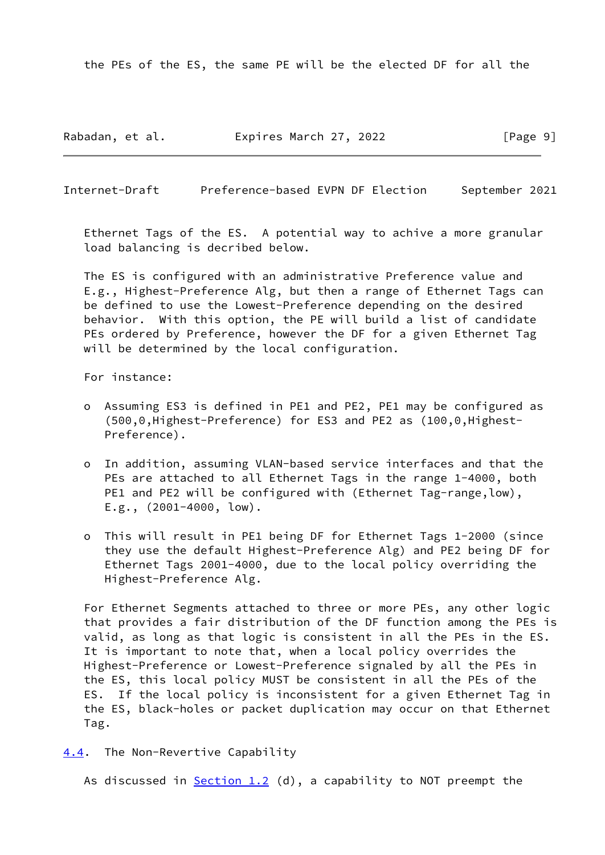the PEs of the ES, the same PE will be the elected DF for all the

Rabadan, et al. **Expires March 27, 2022** [Page 9]

<span id="page-10-1"></span>Internet-Draft Preference-based EVPN DF Election September 2021

 Ethernet Tags of the ES. A potential way to achive a more granular load balancing is decribed below.

 The ES is configured with an administrative Preference value and E.g., Highest-Preference Alg, but then a range of Ethernet Tags can be defined to use the Lowest-Preference depending on the desired behavior. With this option, the PE will build a list of candidate PEs ordered by Preference, however the DF for a given Ethernet Tag will be determined by the local configuration.

For instance:

- o Assuming ES3 is defined in PE1 and PE2, PE1 may be configured as (500,0,Highest-Preference) for ES3 and PE2 as (100,0,Highest- Preference).
- o In addition, assuming VLAN-based service interfaces and that the PEs are attached to all Ethernet Tags in the range 1-4000, both PE1 and PE2 will be configured with (Ethernet Tag-range, low), E.g., (2001-4000, low).
- o This will result in PE1 being DF for Ethernet Tags 1-2000 (since they use the default Highest-Preference Alg) and PE2 being DF for Ethernet Tags 2001-4000, due to the local policy overriding the Highest-Preference Alg.

 For Ethernet Segments attached to three or more PEs, any other logic that provides a fair distribution of the DF function among the PEs is valid, as long as that logic is consistent in all the PEs in the ES. It is important to note that, when a local policy overrides the Highest-Preference or Lowest-Preference signaled by all the PEs in the ES, this local policy MUST be consistent in all the PEs of the ES. If the local policy is inconsistent for a given Ethernet Tag in the ES, black-holes or packet duplication may occur on that Ethernet Tag.

<span id="page-10-0"></span>[4.4](#page-10-0). The Non-Revertive Capability

As discussed in  $Section 1.2$  (d), a capability to NOT preempt the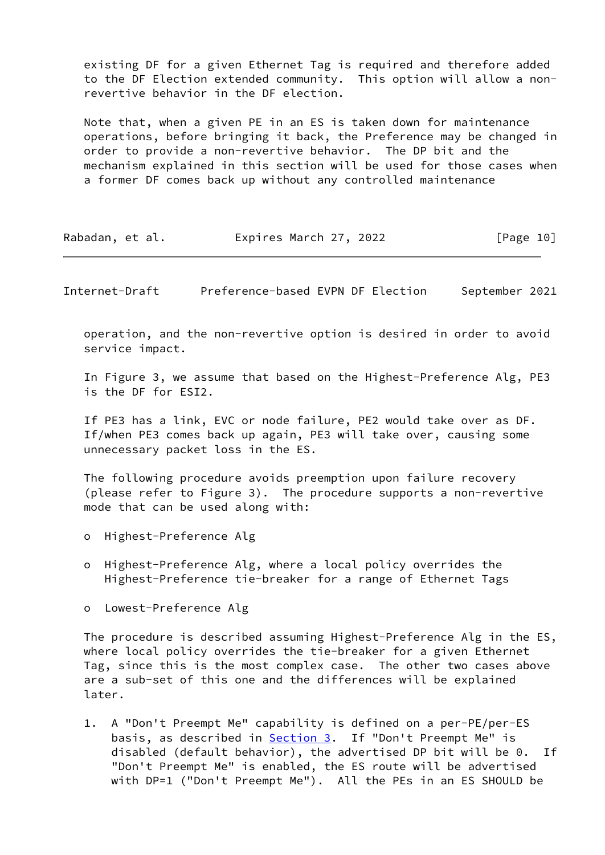existing DF for a given Ethernet Tag is required and therefore added to the DF Election extended community. This option will allow a non revertive behavior in the DF election.

 Note that, when a given PE in an ES is taken down for maintenance operations, before bringing it back, the Preference may be changed in order to provide a non-revertive behavior. The DP bit and the mechanism explained in this section will be used for those cases when a former DF comes back up without any controlled maintenance

| Rabadan, et al. | Expires March 27, 2022 | [Page 10] |
|-----------------|------------------------|-----------|
|-----------------|------------------------|-----------|

Internet-Draft Preference-based EVPN DF Election September 2021

 operation, and the non-revertive option is desired in order to avoid service impact.

 In Figure 3, we assume that based on the Highest-Preference Alg, PE3 is the DF for ESI2.

 If PE3 has a link, EVC or node failure, PE2 would take over as DF. If/when PE3 comes back up again, PE3 will take over, causing some unnecessary packet loss in the ES.

 The following procedure avoids preemption upon failure recovery (please refer to Figure 3). The procedure supports a non-revertive mode that can be used along with:

- o Highest-Preference Alg
- o Highest-Preference Alg, where a local policy overrides the Highest-Preference tie-breaker for a range of Ethernet Tags
- o Lowest-Preference Alg

 The procedure is described assuming Highest-Preference Alg in the ES, where local policy overrides the tie-breaker for a given Ethernet Tag, since this is the most complex case. The other two cases above are a sub-set of this one and the differences will be explained later.

 1. A "Don't Preempt Me" capability is defined on a per-PE/per-ES basis, as described in **Section 3**. If "Don't Preempt Me" is disabled (default behavior), the advertised DP bit will be 0. If "Don't Preempt Me" is enabled, the ES route will be advertised with DP=1 ("Don't Preempt Me"). All the PEs in an ES SHOULD be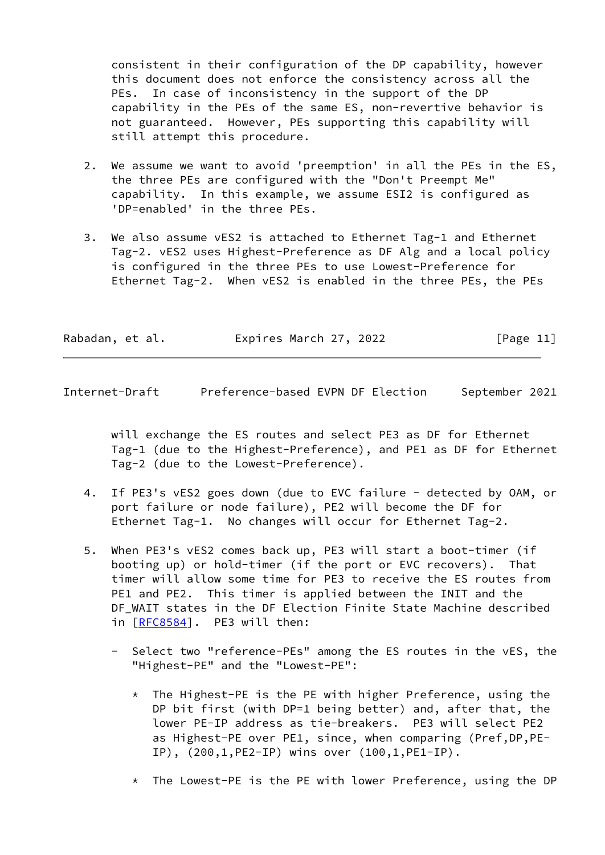consistent in their configuration of the DP capability, however this document does not enforce the consistency across all the PEs. In case of inconsistency in the support of the DP capability in the PEs of the same ES, non-revertive behavior is not guaranteed. However, PEs supporting this capability will still attempt this procedure.

- 2. We assume we want to avoid 'preemption' in all the PEs in the ES, the three PEs are configured with the "Don't Preempt Me" capability. In this example, we assume ESI2 is configured as 'DP=enabled' in the three PEs.
- 3. We also assume vES2 is attached to Ethernet Tag-1 and Ethernet Tag-2. vES2 uses Highest-Preference as DF Alg and a local policy is configured in the three PEs to use Lowest-Preference for Ethernet Tag-2. When vES2 is enabled in the three PEs, the PEs

| Rabadan, et al. | Expires March 27, 2022 | [Page 11] |
|-----------------|------------------------|-----------|
|-----------------|------------------------|-----------|

Internet-Draft Preference-based EVPN DF Election September 2021

 will exchange the ES routes and select PE3 as DF for Ethernet Tag-1 (due to the Highest-Preference), and PE1 as DF for Ethernet Tag-2 (due to the Lowest-Preference).

- 4. If PE3's vES2 goes down (due to EVC failure detected by OAM, or port failure or node failure), PE2 will become the DF for Ethernet Tag-1. No changes will occur for Ethernet Tag-2.
- 5. When PE3's vES2 comes back up, PE3 will start a boot-timer (if booting up) or hold-timer (if the port or EVC recovers). That timer will allow some time for PE3 to receive the ES routes from PE1 and PE2. This timer is applied between the INIT and the DF\_WAIT states in the DF Election Finite State Machine described in [\[RFC8584](https://datatracker.ietf.org/doc/pdf/rfc8584)]. PE3 will then:
	- Select two "reference-PEs" among the ES routes in the vES, the "Highest-PE" and the "Lowest-PE":
		- $*$  The Highest-PE is the PE with higher Preference, using the DP bit first (with DP=1 being better) and, after that, the lower PE-IP address as tie-breakers. PE3 will select PE2 as Highest-PE over PE1, since, when comparing (Pref,DP,PE- IP), (200,1,PE2-IP) wins over (100,1,PE1-IP).
		- \* The Lowest-PE is the PE with lower Preference, using the DP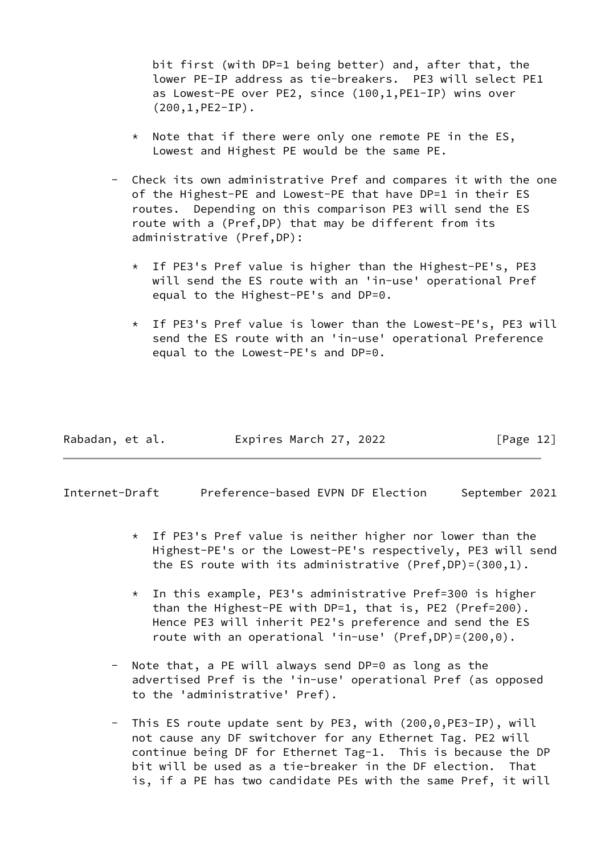bit first (with DP=1 being better) and, after that, the lower PE-IP address as tie-breakers. PE3 will select PE1 as Lowest-PE over PE2, since (100,1,PE1-IP) wins over (200,1,PE2-IP).

- $*$  Note that if there were only one remote PE in the ES, Lowest and Highest PE would be the same PE.
- Check its own administrative Pref and compares it with the one of the Highest-PE and Lowest-PE that have DP=1 in their ES routes. Depending on this comparison PE3 will send the ES route with a (Pref,DP) that may be different from its administrative (Pref,DP):
	- \* If PE3's Pref value is higher than the Highest-PE's, PE3 will send the ES route with an 'in-use' operational Pref equal to the Highest-PE's and DP=0.
	- \* If PE3's Pref value is lower than the Lowest-PE's, PE3 will send the ES route with an 'in-use' operational Preference equal to the Lowest-PE's and DP=0.

| Rabadan, et al. | Expires March 27, 2022 | [Page 12] |
|-----------------|------------------------|-----------|
|-----------------|------------------------|-----------|

Internet-Draft Preference-based EVPN DF Election September 2021

- \* If PE3's Pref value is neither higher nor lower than the Highest-PE's or the Lowest-PE's respectively, PE3 will send the ES route with its administrative (Pref,DP)=(300,1).
- \* In this example, PE3's administrative Pref=300 is higher than the Highest-PE with DP=1, that is, PE2 (Pref=200). Hence PE3 will inherit PE2's preference and send the ES route with an operational 'in-use' (Pref,DP)=(200,0).
- Note that, a PE will always send DP=0 as long as the advertised Pref is the 'in-use' operational Pref (as opposed to the 'administrative' Pref).
- This ES route update sent by PE3, with (200,0, PE3-IP), will not cause any DF switchover for any Ethernet Tag. PE2 will continue being DF for Ethernet Tag-1. This is because the DP bit will be used as a tie-breaker in the DF election. That is, if a PE has two candidate PEs with the same Pref, it will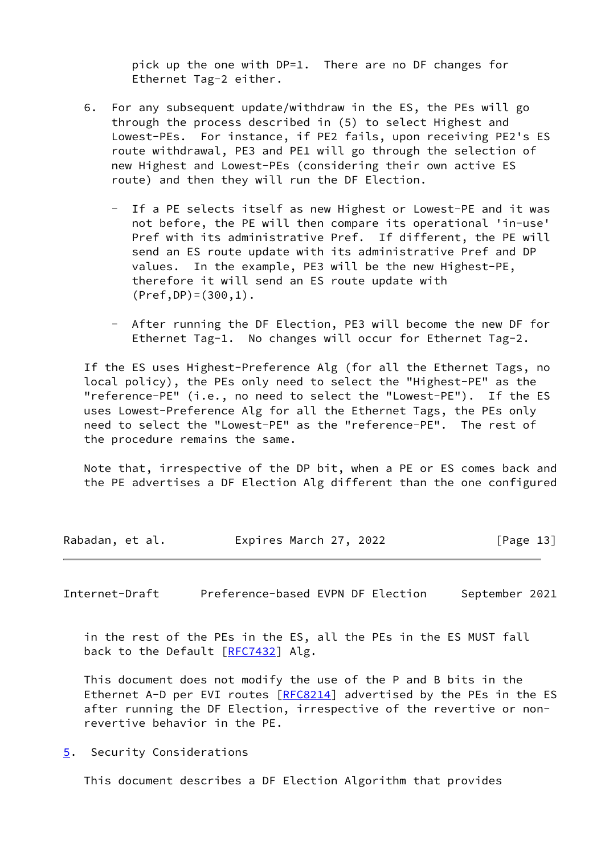pick up the one with DP=1. There are no DF changes for Ethernet Tag-2 either.

- 6. For any subsequent update/withdraw in the ES, the PEs will go through the process described in (5) to select Highest and Lowest-PEs. For instance, if PE2 fails, upon receiving PE2's ES route withdrawal, PE3 and PE1 will go through the selection of new Highest and Lowest-PEs (considering their own active ES route) and then they will run the DF Election.
	- If a PE selects itself as new Highest or Lowest-PE and it was not before, the PE will then compare its operational 'in-use' Pref with its administrative Pref. If different, the PE will send an ES route update with its administrative Pref and DP values. In the example, PE3 will be the new Highest-PE, therefore it will send an ES route update with  $(Pref, DP) = (300, 1)$ .
	- After running the DF Election, PE3 will become the new DF for Ethernet Tag-1. No changes will occur for Ethernet Tag-2.

 If the ES uses Highest-Preference Alg (for all the Ethernet Tags, no local policy), the PEs only need to select the "Highest-PE" as the "reference-PE" (i.e., no need to select the "Lowest-PE"). If the ES uses Lowest-Preference Alg for all the Ethernet Tags, the PEs only need to select the "Lowest-PE" as the "reference-PE". The rest of the procedure remains the same.

 Note that, irrespective of the DP bit, when a PE or ES comes back and the PE advertises a DF Election Alg different than the one configured

| Rabadan, et al. | Expires March 27, 2022 | [Page 13] |
|-----------------|------------------------|-----------|
|-----------------|------------------------|-----------|

<span id="page-14-1"></span>Internet-Draft Preference-based EVPN DF Election September 2021

 in the rest of the PEs in the ES, all the PEs in the ES MUST fall back to the Default [\[RFC7432](https://datatracker.ietf.org/doc/pdf/rfc7432)] Alg.

 This document does not modify the use of the P and B bits in the Ethernet A-D per EVI routes  $[REC8214]$  advertised by the PEs in the ES after running the DF Election, irrespective of the revertive or non revertive behavior in the PE.

<span id="page-14-0"></span>[5](#page-14-0). Security Considerations

This document describes a DF Election Algorithm that provides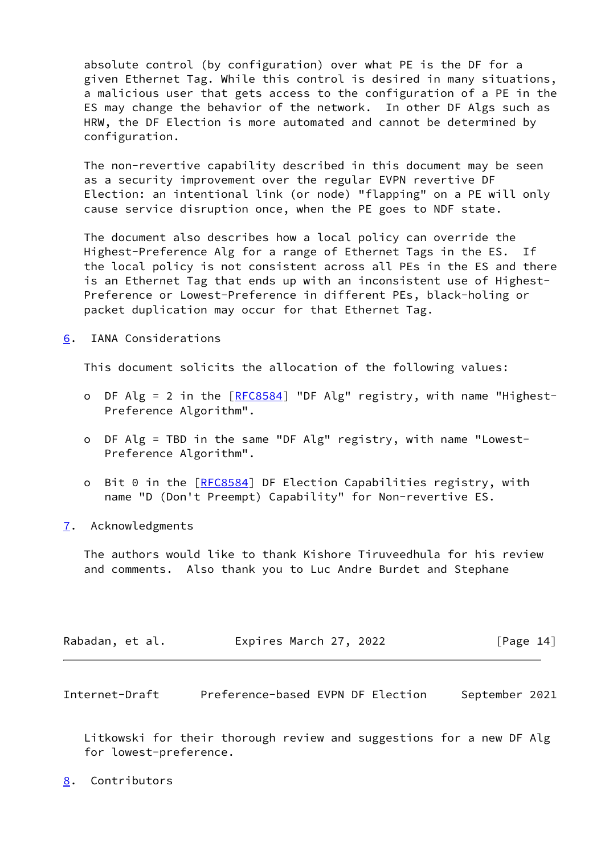absolute control (by configuration) over what PE is the DF for a given Ethernet Tag. While this control is desired in many situations, a malicious user that gets access to the configuration of a PE in the ES may change the behavior of the network. In other DF Algs such as HRW, the DF Election is more automated and cannot be determined by configuration.

 The non-revertive capability described in this document may be seen as a security improvement over the regular EVPN revertive DF Election: an intentional link (or node) "flapping" on a PE will only cause service disruption once, when the PE goes to NDF state.

 The document also describes how a local policy can override the Highest-Preference Alg for a range of Ethernet Tags in the ES. If the local policy is not consistent across all PEs in the ES and there is an Ethernet Tag that ends up with an inconsistent use of Highest- Preference or Lowest-Preference in different PEs, black-holing or packet duplication may occur for that Ethernet Tag.

<span id="page-15-0"></span>[6](#page-15-0). IANA Considerations

This document solicits the allocation of the following values:

- o DF Alg = 2 in the [\[RFC8584](https://datatracker.ietf.org/doc/pdf/rfc8584)] "DF Alg" registry, with name "Highest-Preference Algorithm".
- o DF Alg = TBD in the same "DF Alg" registry, with name "Lowest- Preference Algorithm".
- o Bit 0 in the [\[RFC8584](https://datatracker.ietf.org/doc/pdf/rfc8584)] DF Election Capabilities registry, with name "D (Don't Preempt) Capability" for Non-revertive ES.
- <span id="page-15-1"></span>[7](#page-15-1). Acknowledgments

 The authors would like to thank Kishore Tiruveedhula for his review and comments. Also thank you to Luc Andre Burdet and Stephane

| Rabadan, et al. | Expires March 27, 2022 | [Page 14] |
|-----------------|------------------------|-----------|
|-----------------|------------------------|-----------|

<span id="page-15-3"></span>Internet-Draft Preference-based EVPN DF Election September 2021

 Litkowski for their thorough review and suggestions for a new DF Alg for lowest-preference.

<span id="page-15-2"></span>[8](#page-15-2). Contributors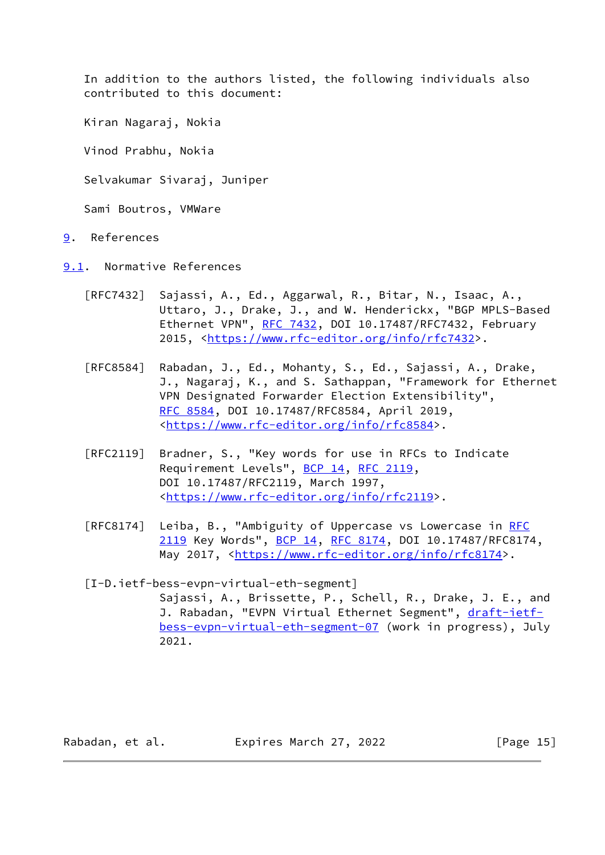In addition to the authors listed, the following individuals also contributed to this document:

Kiran Nagaraj, Nokia

Vinod Prabhu, Nokia

Selvakumar Sivaraj, Juniper

Sami Boutros, VMWare

- <span id="page-16-0"></span>[9](#page-16-0). References
- <span id="page-16-1"></span>[9.1](#page-16-1). Normative References
	- [RFC7432] Sajassi, A., Ed., Aggarwal, R., Bitar, N., Isaac, A., Uttaro, J., Drake, J., and W. Henderickx, "BGP MPLS-Based Ethernet VPN", [RFC 7432](https://datatracker.ietf.org/doc/pdf/rfc7432), DOI 10.17487/RFC7432, February 2015, [<https://www.rfc-editor.org/info/rfc7432](https://www.rfc-editor.org/info/rfc7432)>.
	- [RFC8584] Rabadan, J., Ed., Mohanty, S., Ed., Sajassi, A., Drake, J., Nagaraj, K., and S. Sathappan, "Framework for Ethernet VPN Designated Forwarder Election Extensibility", [RFC 8584,](https://datatracker.ietf.org/doc/pdf/rfc8584) DOI 10.17487/RFC8584, April 2019, <[https://www.rfc-editor.org/info/rfc8584>](https://www.rfc-editor.org/info/rfc8584).
	- [RFC2119] Bradner, S., "Key words for use in RFCs to Indicate Requirement Levels", [BCP 14](https://datatracker.ietf.org/doc/pdf/bcp14), [RFC 2119](https://datatracker.ietf.org/doc/pdf/rfc2119), DOI 10.17487/RFC2119, March 1997, <[https://www.rfc-editor.org/info/rfc2119>](https://www.rfc-editor.org/info/rfc2119).
	- [RFC8174] Leiba, B., "Ambiguity of Uppercase vs Lowercase in [RFC](https://datatracker.ietf.org/doc/pdf/rfc2119) [2119](https://datatracker.ietf.org/doc/pdf/rfc2119) Key Words", [BCP 14](https://datatracker.ietf.org/doc/pdf/bcp14), [RFC 8174,](https://datatracker.ietf.org/doc/pdf/rfc8174) DOI 10.17487/RFC8174, May 2017, [<https://www.rfc-editor.org/info/rfc8174](https://www.rfc-editor.org/info/rfc8174)>.
	- [I-D.ietf-bess-evpn-virtual-eth-segment] Sajassi, A., Brissette, P., Schell, R., Drake, J. E., and J. Rabadan, "EVPN Virtual Ethernet Segment", [draft-ietf](https://datatracker.ietf.org/doc/pdf/draft-ietf-bess-evpn-virtual-eth-segment-07) [bess-evpn-virtual-eth-segment-07](https://datatracker.ietf.org/doc/pdf/draft-ietf-bess-evpn-virtual-eth-segment-07) (work in progress), July 2021.

<span id="page-16-2"></span>Rabadan, et al. Expires March 27, 2022 [Page 15]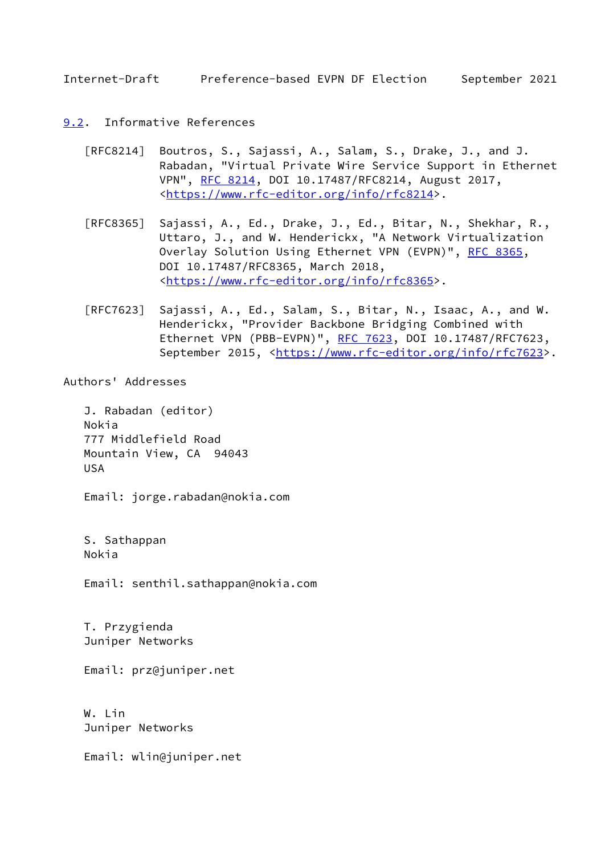- <span id="page-17-1"></span><span id="page-17-0"></span>[9.2](#page-17-0). Informative References
	- [RFC8214] Boutros, S., Sajassi, A., Salam, S., Drake, J., and J. Rabadan, "Virtual Private Wire Service Support in Ethernet VPN", [RFC 8214](https://datatracker.ietf.org/doc/pdf/rfc8214), DOI 10.17487/RFC8214, August 2017, <[https://www.rfc-editor.org/info/rfc8214>](https://www.rfc-editor.org/info/rfc8214).
	- [RFC8365] Sajassi, A., Ed., Drake, J., Ed., Bitar, N., Shekhar, R., Uttaro, J., and W. Henderickx, "A Network Virtualization Overlay Solution Using Ethernet VPN (EVPN)", [RFC 8365](https://datatracker.ietf.org/doc/pdf/rfc8365), DOI 10.17487/RFC8365, March 2018, <[https://www.rfc-editor.org/info/rfc8365>](https://www.rfc-editor.org/info/rfc8365).
	- [RFC7623] Sajassi, A., Ed., Salam, S., Bitar, N., Isaac, A., and W. Henderickx, "Provider Backbone Bridging Combined with Ethernet VPN (PBB-EVPN)", [RFC 7623](https://datatracker.ietf.org/doc/pdf/rfc7623), DOI 10.17487/RFC7623, September 2015, <[https://www.rfc-editor.org/info/rfc7623>](https://www.rfc-editor.org/info/rfc7623).

Authors' Addresses

 J. Rabadan (editor) Nokia 777 Middlefield Road Mountain View, CA 94043 USA

Email: jorge.rabadan@nokia.com

 S. Sathappan Nokia

Email: senthil.sathappan@nokia.com

 T. Przygienda Juniper Networks

Email: prz@juniper.net

 W. Lin Juniper Networks

Email: wlin@juniper.net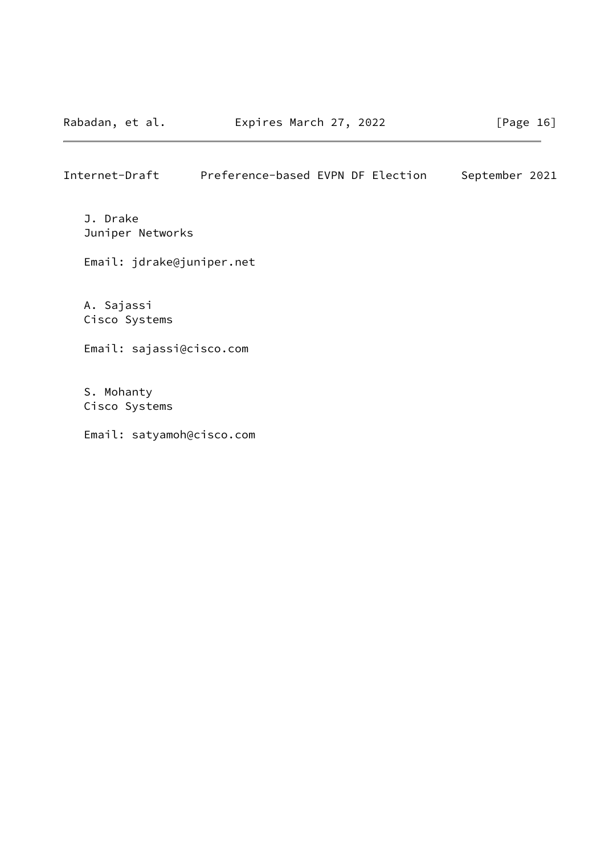J. Drake Juniper Networks

Email: jdrake@juniper.net

 A. Sajassi Cisco Systems

Email: sajassi@cisco.com

 S. Mohanty Cisco Systems

Email: satyamoh@cisco.com